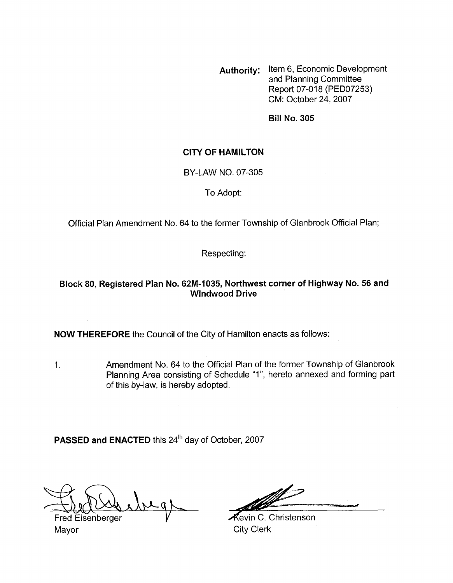**Authority:** Item 6, Economic Development and Planning Committee Report 07-018 (PED07253) CM: October 24,2007

**Bill No. 305** 

## **CITY OF HAMILTON**

#### BY-LAW NO. 07-305

### To Adopt:

Official Plan Amendment No. 64 to the former Township of Glanbrook Official Plan;

Respecting:

## **Block 80, Registered Plan No. 62M-1035, Northwest corner of Highway No. 56 and Windwood Drive**

**NOW THEREFORE** the Council of the City of Hamilton enacts as follows:

1. Amendment No. 64 to the Official Plan of the former Township of Glanbrook Planning Area consisting of Schedule "I", hereto annexed and forming part of this by-law, is hereby adopted.

PASSED and ENACTED this 24<sup>th</sup> day of October, 2007

Fred Eisenberger **V A**evin C. Christenson

Mayor **Mayor** City Clerk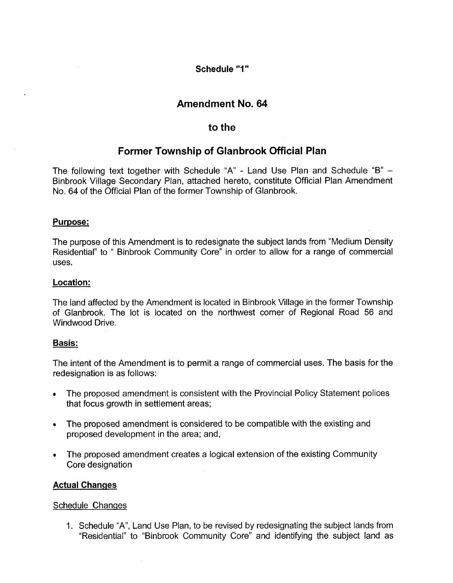**Schedule** "I"

## **Amendment No. 64**

## **to the**

# **Former Township of Glanbrook Official Plan**

The following text together with Schedule "A" - Land Use Plan and Schedule "B" - Binbrook Village Secondary Plan, attached hereto, constitute Official Plan Amendment No. 64 of the Official Plan of the former Township of Glanbrook.

## **Purpose:**

The purpose of this Amendment is to redesignate the subject lands from "Medium Density Residential" to " Binbrook Community Core" in order to allow for a range of commercial uses.

### **Location:**

The land affected by the Amendment is located in Binbrook Village in the former Township of Glanbrook. The lot is located on the northwest comer of Regional Road 56 and Windwood Drive.

### **Basis:**

The intent of the Amendment is to permit a range of commercial uses. The basis for the redesignation is as follows:

- The proposed amendment is consistent with the Provincial Policy Statement polices  $\bullet$ that focus growth in settlement areas;
- The proposed amendment is considered to be compatible with the existing and  $\bullet$ proposed development in the area; and,
- The proposed amendment creates a logical extension of the existing Community  $\bullet$ Core designation

### **Actual Changes**

### Schedule Changes

1. Schedule "A", Land Use Plan, to be revised by redesignating the subject lands from "Residential" to "Binbrook Community Core'' and identifying the subject land as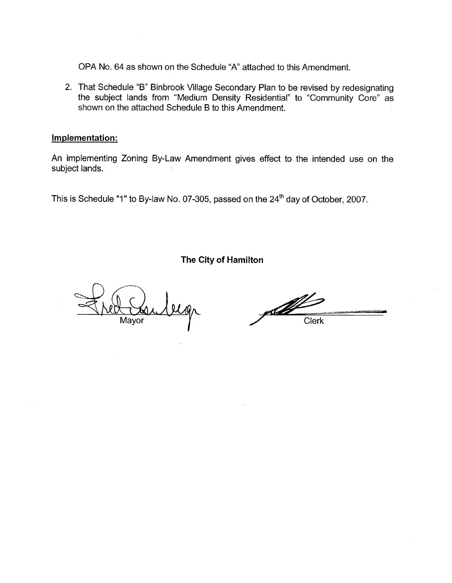OPA No. 64 as shown on the Schedule "A' attached to this Amendment.

2. That Schedule "B" Binbrook Village Secondary Plan to be revised by redesignating the subject lands from "Medium Density Residential" to "Community Core" as shown on the attached Schedule B to this Amendment.

## **Implementation:**

An implementing Zoning By-Law Amendment gives effect to the intended use on the subject lands.

This is Schedule "1" to By-law No. 07-305, passed on the **24'h** day of October, 2007.

**The City of Hamilton** 

Mayor

Salt Contract Clerk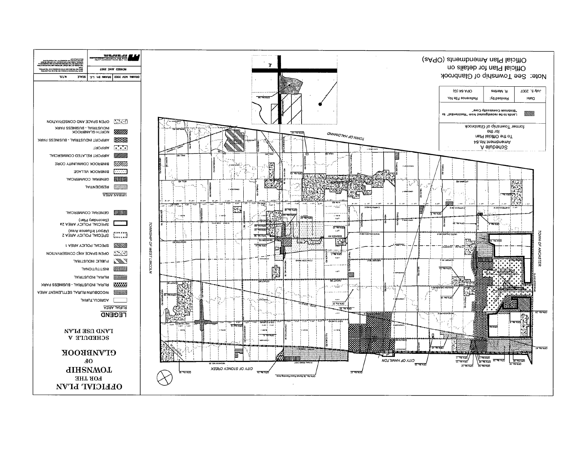